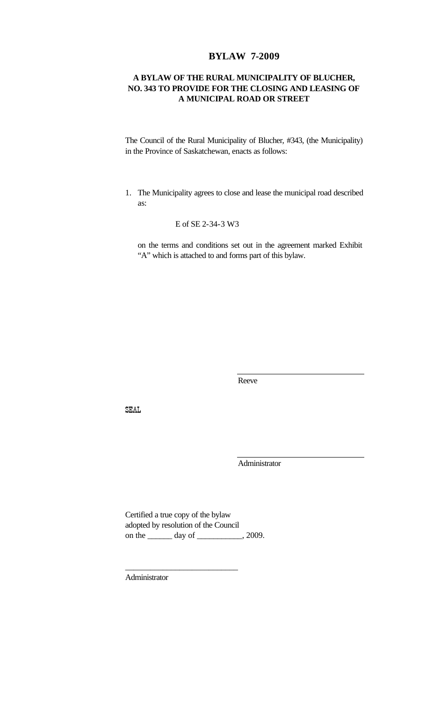## **BYLAW 7-2009**

### **A BYLAW OF THE RURAL MUNICIPALITY OF BLUCHER, NO. 343 TO PROVIDE FOR THE CLOSING AND LEASING OF A MUNICIPAL ROAD OR STREET**

The Council of the Rural Municipality of Blucher, #343, (the Municipality) in the Province of Saskatchewan, enacts as follows:

1. The Municipality agrees to close and lease the municipal road described as:

E of SE 2-34-3 W3

on the terms and conditions set out in the agreement marked Exhibit "A" which is attached to and forms part of this bylaw.

Reeve

SEAL

Administrator

Certified a true copy of the bylaw adopted by resolution of the Council on the <u>equal</u> day of <u>equal</u>, 2009.

\_\_\_\_\_\_\_\_\_\_\_\_\_\_\_\_\_\_\_\_\_\_\_\_\_\_\_

Administrator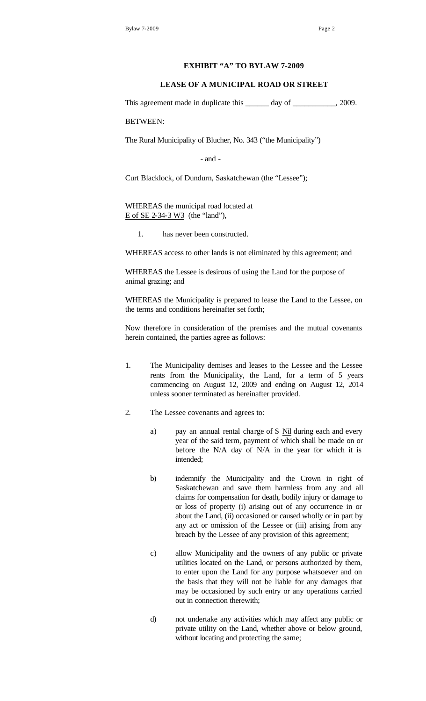#### **EXHIBIT "A" TO BYLAW 7-2009**

#### **LEASE OF A MUNICIPAL ROAD OR STREET**

This agreement made in duplicate this \_\_\_\_\_\_ day of \_\_\_\_\_\_\_\_\_, 2009.

BETWEEN:

The Rural Municipality of Blucher, No. 343 ("the Municipality")

- and -

Curt Blacklock, of Dundurn, Saskatchewan (the "Lessee");

WHEREAS the municipal road located at E of SE 2-34-3 W3 (the "land"),

1. has never been constructed.

WHEREAS access to other lands is not eliminated by this agreement; and

WHEREAS the Lessee is desirous of using the Land for the purpose of animal grazing; and

WHEREAS the Municipality is prepared to lease the Land to the Lessee, on the terms and conditions hereinafter set forth;

Now therefore in consideration of the premises and the mutual covenants herein contained, the parties agree as follows:

- 1. The Municipality demises and leases to the Lessee and the Lessee rents from the Municipality, the Land, for a term of 5 years commencing on August 12, 2009 and ending on August 12, 2014 unless sooner terminated as hereinafter provided.
- 2. The Lessee covenants and agrees to:
	- a) pay an annual rental charge of \$ Nil during each and every year of the said term, payment of which shall be made on or before the  $N/A$  day of  $N/A$  in the year for which it is intended;
	- b) indemnify the Municipality and the Crown in right of Saskatchewan and save them harmless from any and all claims for compensation for death, bodily injury or damage to or loss of property (i) arising out of any occurrence in or about the Land, (ii) occasioned or caused wholly or in part by any act or omission of the Lessee or (iii) arising from any breach by the Lessee of any provision of this agreement;
	- c) allow Municipality and the owners of any public or private utilities located on the Land, or persons authorized by them, to enter upon the Land for any purpose whatsoever and on the basis that they will not be liable for any damages that may be occasioned by such entry or any operations carried out in connection therewith;
	- d) not undertake any activities which may affect any public or private utility on the Land, whether above or below ground, without locating and protecting the same;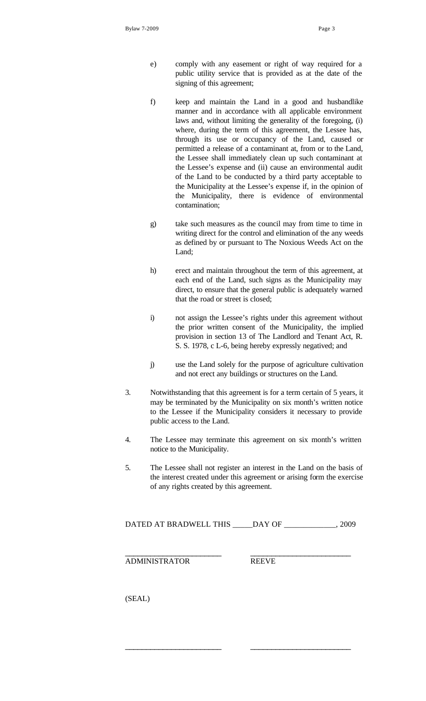- e) comply with any easement or right of way required for a public utility service that is provided as at the date of the signing of this agreement;
- f) keep and maintain the Land in a good and husbandlike manner and in accordance with all applicable environment laws and, without limiting the generality of the foregoing, (i) where, during the term of this agreement, the Lessee has, through its use or occupancy of the Land, caused or permitted a release of a contaminant at, from or to the Land, the Lessee shall immediately clean up such contaminant at the Lessee's expense and (ii) cause an environmental audit of the Land to be conducted by a third party acceptable to the Municipality at the Lessee's expense if, in the opinion of the Municipality, there is evidence of environmental contamination;
- g) take such measures as the council may from time to time in writing direct for the control and elimination of the any weeds as defined by or pursuant to The Noxious Weeds Act on the Land;
- h) erect and maintain throughout the term of this agreement, at each end of the Land, such signs as the Municipality may direct, to ensure that the general public is adequately warned that the road or street is closed;
- i) not assign the Lessee's rights under this agreement without the prior written consent of the Municipality, the implied provision in section 13 of The Landlord and Tenant Act, R. S. S. 1978, c L-6, being hereby expressly negatived; and
- j) use the Land solely for the purpose of agriculture cultivation and not erect any buildings or structures on the Land.
- 3. Notwithstanding that this agreement is for a term certain of 5 years, it may be terminated by the Municipality on six month's written notice to the Lessee if the Municipality considers it necessary to provide public access to the Land.
- 4. The Lessee may terminate this agreement on six month's written notice to the Municipality.
- 5. The Lessee shall not register an interest in the Land on the basis of the interest created under this agreement or arising form the exercise of any rights created by this agreement.

DATED AT BRADWELL THIS \_\_\_\_\_DAY OF \_\_\_\_\_\_\_\_\_\_\_\_\_, 2009

\_\_\_\_\_\_\_\_\_\_\_\_\_\_\_\_\_\_\_\_\_\_\_ \_\_\_\_\_\_\_\_\_\_\_\_\_\_\_\_\_\_\_\_\_\_\_\_

\_\_\_\_\_\_\_\_\_\_\_\_\_\_\_\_\_\_\_\_\_\_\_ \_\_\_\_\_\_\_\_\_\_\_\_\_\_\_\_\_\_\_\_\_\_\_\_

ADMINISTRATOR REEVE

(SEAL)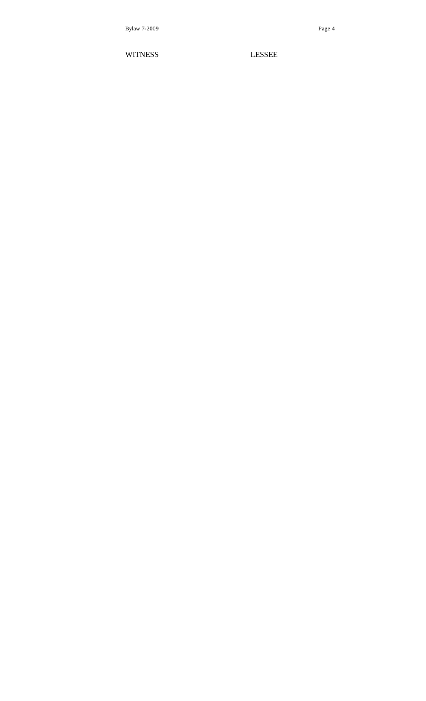WITNESS LESSEE